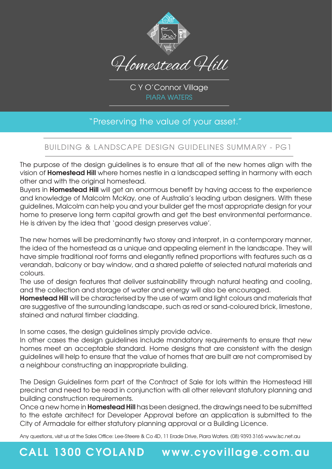

C Y O'Connor Village PIARA WATERS

### "Preserving the value of your asset."

#### BUILDING & LANDSCAPE DESIGN GUIDELINES SUMMARY - PG1

The purpose of the design guidelines is to ensure that all of the new homes align with the vision of **Homestead Hill** where homes nestle in a landscaped setting in harmony with each other and with the original homestead.

Buyers in **Homestead Hill** will get an enormous benefit by having access to the experience and knowledge of Malcolm McKay, one of Australia's leading urban designers. With these guidelines, Malcolm can help you and your builder get the most appropriate design for your home to preserve long term capital growth and get the best environmental performance. He is driven by the idea that 'good design preserves value'.

The new homes will be predominantly two storey and interpret, in a contemporary manner, the idea of the homestead as a unique and appealing element in the landscape. They will have simple traditional roof forms and elegantly refined proportions with features such as a verandah, balcony or bay window, and a shared palette of selected natural materials and colours.

The use of design features that deliver sustainability through natural heating and cooling, and the collection and storage of water and energy will also be encouraged.

**Homestead Hill** will be characterised by the use of warm and light colours and materials that are suggestive of the surrounding landscape, such as red or sand-coloured brick, limestone, stained and natural timber cladding.

In some cases, the design guidelines simply provide advice.

In other cases the design guidelines include mandatory requirements to ensure that new homes meet an acceptable standard. Home designs that are consistent with the design guidelines will help to ensure that the value of homes that are built are not compromised by a neighbour constructing an inappropriate building.

The Design Guidelines form part of the Contract of Sale for lots within the Homestead Hill precinct and need to be read in conjunction with all other relevant statutory planning and building construction requirements.

Once a new home in **Homestead Hill** has been designed, the drawings need to be submitted to the estate architect for Developer Approval before an application is submitted to the City of Armadale for either statutory planning approval or a Building Licence.

Any questions, visit us at the Sales Office: Lee-Steere & Co 4D, 11 Erade Drive, Piara Waters. (08) 9393 3165 www.lsc.net.au

## **CALL 1300 CYOLAND www.cyovillage.com.au**